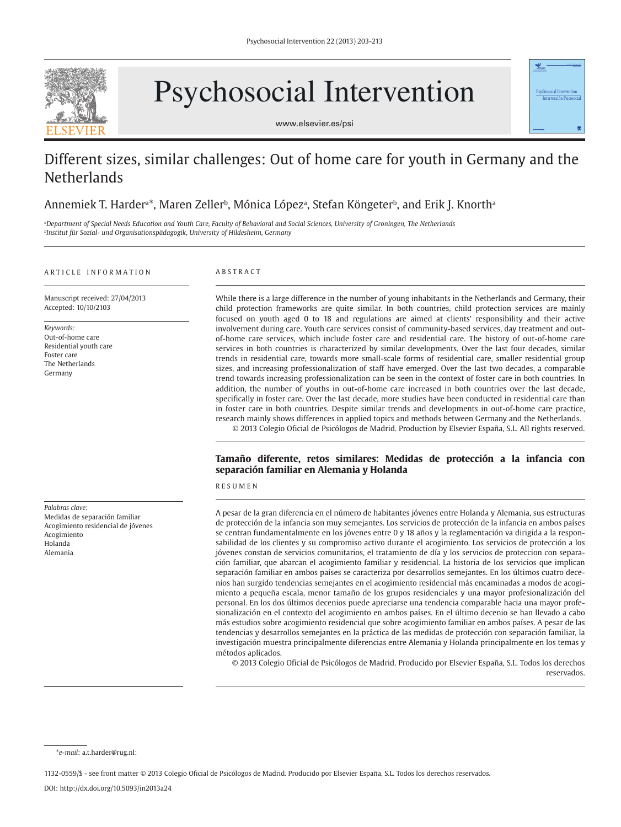

Psychosocial Intervention



# Different sizes, similar challenges: Out of home care for youth in Germany and the **Netherlands**

# Annemiek T. Harder<sup>a\*</sup>, Maren Zeller<sup>ь</sup>, Mónica Lópezª, Stefan Köngeter<sup>ь</sup>, and Erik J. Knorthª

*a Department of Special Needs Education and Youth Care, Faculty of Behavioral and Social Sciences, University of Groningen, The Netherlands b Institut für Sozial- und Organisationspädagogik, University of Hildesheim, Germany*

# ARTICLE INFORMATION

Manuscript received: 27/04/2013 Accepted: 10/10/2103

*Keywords:*  Out-of-home care Residential youth care Foster care The Netherlands Germany

*Palabras clave:*  Medidas de separación familiar Acogimiento residencial de jóvenes Acogimiento Holanda Alemania

# ABSTRACT

While there is a large difference in the number of young inhabitants in the Netherlands and Germany, their child protection frameworks are quite similar. In both countries, child protection services are mainly focused on youth aged 0 to 18 and regulations are aimed at clients' responsibility and their active involvement during care. Youth care services consist of community-based services, day treatment and outof-home care services, which include foster care and residential care. The history of out-of-home care services in both countries is characterized by similar developments. Over the last four decades, similar trends in residential care, towards more small-scale forms of residential care, smaller residential group sizes, and increasing professionalization of staff have emerged. Over the last two decades, a comparable trend towards increasing professionalization can be seen in the context of foster care in both countries. In addition, the number of youths in out-of-home care increased in both countries over the last decade, specifically in foster care. Over the last decade, more studies have been conducted in residential care than in foster care in both countries. Despite similar trends and developments in out-of-home care practice, research mainly shows differences in applied topics and methods between Germany and the Netherlands. © 2013 Colegio Oficial de Psicólogos de Madrid. Production by Elsevier España, S.L. All rights reserved.

Psychosocial Intervention Intervención Psicosocial

# **Tamaño diferente, retos similares: Medidas de protección a la infancia con separación familiar en Alemania y Holanda**

# RESUMEN

A pesar de la gran diferencia en el número de habitantes jóvenes entre Holanda y Alemania, sus estructuras de protección de la infancia son muy semejantes. Los servicios de protección de la infancia en ambos países se centran fundamentalmente en los jóvenes entre 0 y 18 años y la reglamentación va dirigida a la responsabilidad de los clientes y su compromiso activo durante el acogimiento. Los servicios de protección a los jóvenes constan de servicios comunitarios, el tratamiento de día y los servicios de proteccion con separación familiar, que abarcan el acogimiento familiar y residencial. La historia de los servicios que implican separación familiar en ambos países se caracteriza por desarrollos semejantes. En los últimos cuatro decenios han surgido tendencias semejantes en el acogimiento residencial más encaminadas a modos de acogimiento a pequeña escala, menor tamaño de los grupos residenciales y una mayor profesionalización del personal. En los dos últimos decenios puede apreciarse una tendencia comparable hacia una mayor profesionalización en el contexto del acogimiento en ambos países. En el último decenio se han llevado a cabo más estudios sobre acogimiento residencial que sobre acogimiento familiar en ambos países. A pesar de las tendencias y desarrollos semejantes en la práctica de las medidas de protección con separación familiar, la investigación muestra principalmente diferencias entre Alemania y Holanda principalmente en los temas y métodos aplicados.

© 2013 Colegio Oficial de Psicólogos de Madrid. Producido por Elsevier España, S.L. Todos los derechos reservados.

\**e-mail*: a.t.harder@rug.nl;

1132-0559/\$ - see front matter © 2013 Colegio Oficial de Psicólogos de Madrid. Producido por Elsevier España, S.L. Todos los derechos reservados. DOI: http://dx.doi.org/10.5093/in2013a24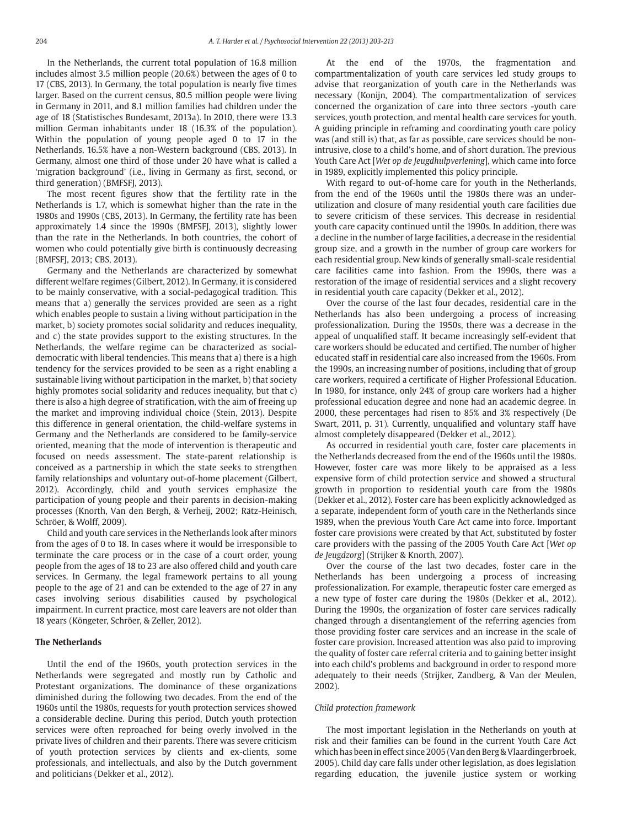In the Netherlands, the current total population of 16.8 million includes almost 3.5 million people (20.6%) between the ages of 0 to 17 (CBS, 2013). In Germany, the total population is nearly five times larger. Based on the current census, 80.5 million people were living in Germany in 2011, and 8.1 million families had children under the age of 18 (Statistisches Bundesamt, 2013a). In 2010, there were 13.3 million German inhabitants under 18 (16.3% of the population). Within the population of young people aged 0 to 17 in the Netherlands, 16.5% have a non-Western background (CBS, 2013). In Germany, almost one third of those under 20 have what is called a 'migration background' (i.e., living in Germany as first, second, or third generation) (BMFSFJ, 2013).

The most recent figures show that the fertility rate in the Netherlands is 1.7, which is somewhat higher than the rate in the 1980s and 1990s (CBS, 2013). In Germany, the fertility rate has been approximately 1.4 since the 1990s (BMFSFJ, 2013), slightly lower than the rate in the Netherlands. In both countries, the cohort of women who could potentially give birth is continuously decreasing (BMFSFJ, 2013; CBS, 2013).

Germany and the Netherlands are characterized by somewhat different welfare regimes (Gilbert, 2012). In Germany, it is considered to be mainly conservative, with a social-pedagogical tradition. This means that a) generally the services provided are seen as a right which enables people to sustain a living without participation in the market, b) society promotes social solidarity and reduces inequality, and c) the state provides support to the existing structures. In the Netherlands, the welfare regime can be characterized as socialdemocratic with liberal tendencies. This means that a) there is a high tendency for the services provided to be seen as a right enabling a sustainable living without participation in the market, b) that society highly promotes social solidarity and reduces inequality, but that c) there is also a high degree of stratification, with the aim of freeing up the market and improving individual choice (Stein, 2013). Despite this difference in general orientation, the child-welfare systems in Germany and the Netherlands are considered to be family-service oriented, meaning that the mode of intervention is therapeutic and focused on needs assessment. The state-parent relationship is conceived as a partnership in which the state seeks to strengthen family relationships and voluntary out-of-home placement (Gilbert, 2012). Accordingly, child and youth services emphasize the participation of young people and their parents in decision-making processes (Knorth, Van den Bergh, & Verheij, 2002; Rätz-Heinisch, Schröer, & Wolff, 2009).

Child and youth care services in the Netherlands look after minors from the ages of 0 to 18. In cases where it would be irresponsible to terminate the care process or in the case of a court order, young people from the ages of 18 to 23 are also offered child and youth care services. In Germany, the legal framework pertains to all young people to the age of 21 and can be extended to the age of 27 in any cases involving serious disabilities caused by psychological impairment. In current practice, most care leavers are not older than 18 years (Köngeter, Schröer, & Zeller, 2012).

# **The Netherlands**

Until the end of the 1960s, youth protection services in the Netherlands were segregated and mostly run by Catholic and Protestant organizations. The dominance of these organizations diminished during the following two decades. From the end of the 1960s until the 1980s, requests for youth protection services showed a considerable decline. During this period, Dutch youth protection services were often reproached for being overly involved in the private lives of children and their parents. There was severe criticism of youth protection services by clients and ex-clients, some professionals, and intellectuals, and also by the Dutch government and politicians (Dekker et al., 2012).

At the end of the 1970s, the fragmentation and compartmentalization of youth care services led study groups to advise that reorganization of youth care in the Netherlands was necessary (Konijn, 2004). The compartmentalization of services concerned the organization of care into three sectors -youth care services, youth protection, and mental health care services for youth. A guiding principle in reframing and coordinating youth care policy was (and still is) that, as far as possible, care services should be nonintrusive, close to a child's home, and of short duration. The previous Youth Care Act [*Wet op de Jeugdhulpverlening*], which came into force in 1989, explicitly implemented this policy principle.

With regard to out-of-home care for youth in the Netherlands, from the end of the 1960s until the 1980s there was an underutilization and closure of many residential youth care facilities due to severe criticism of these services. This decrease in residential youth care capacity continued until the 1990s. In addition, there was a decline in the number of large facilities, a decrease in the residential group size, and a growth in the number of group care workers for each residential group. New kinds of generally small-scale residential care facilities came into fashion. From the 1990s, there was a restoration of the image of residential services and a slight recovery in residential youth care capacity (Dekker et al., 2012).

Over the course of the last four decades, residential care in the Netherlands has also been undergoing a process of increasing professionalization. During the 1950s, there was a decrease in the appeal of unqualified staff. It became increasingly self-evident that care workers should be educated and certified. The number of higher educated staff in residential care also increased from the 1960s. From the 1990s, an increasing number of positions, including that of group care workers, required a certificate of Higher Professional Education. In 1980, for instance, only 24% of group care workers had a higher professional education degree and none had an academic degree. In 2000, these percentages had risen to 85% and 3% respectively (De Swart, 2011, p. 31). Currently, unqualified and voluntary staff have almost completely disappeared (Dekker et al., 2012).

As occurred in residential youth care, foster care placements in the Netherlands decreased from the end of the 1960s until the 1980s. However, foster care was more likely to be appraised as a less expensive form of child protection service and showed a structural growth in proportion to residential youth care from the 1980s (Dekker et al., 2012). Foster care has been explicitly acknowledged as a separate, independent form of youth care in the Netherlands since 1989, when the previous Youth Care Act came into force. Important foster care provisions were created by that Act, substituted by foster care providers with the passing of the 2005 Youth Care Act [*Wet op de Jeugdzorg*] (Strijker & Knorth, 2007).

Over the course of the last two decades, foster care in the Netherlands has been undergoing a process of increasing professionalization. For example, therapeutic foster care emerged as a new type of foster care during the 1980s (Dekker et al., 2012). During the 1990s, the organization of foster care services radically changed through a disentanglement of the referring agencies from those providing foster care services and an increase in the scale of foster care provision. Increased attention was also paid to improving the quality of foster care referral criteria and to gaining better insight into each child's problems and background in order to respond more adequately to their needs (Strijker, Zandberg, & Van der Meulen, 2002).

# *Child protection framework*

The most important legislation in the Netherlands on youth at risk and their families can be found in the current Youth Care Act which has been in effect since 2005 (Van den Berg & Vlaardingerbroek, 2005). Child day care falls under other legislation, as does legislation regarding education, the juvenile justice system or working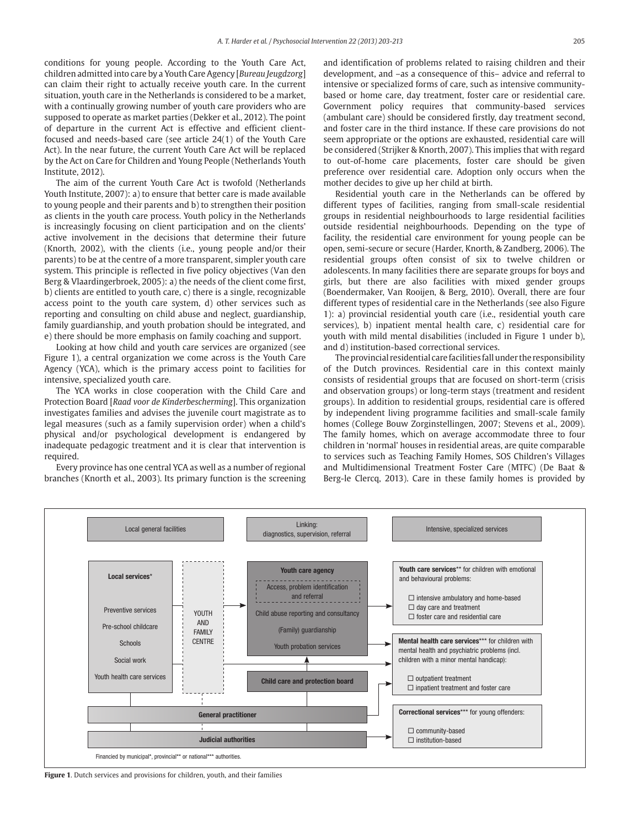conditions for young people. According to the Youth Care Act, children admitted into care by a Youth Care Agency [*Bureau Jeugdzorg*] can claim their right to actually receive youth care. In the current situation, youth care in the Netherlands is considered to be a market, with a continually growing number of youth care providers who are supposed to operate as market parties (Dekker et al., 2012). The point of departure in the current Act is effective and efficient clientfocused and needs-based care (see article 24(1) of the Youth Care Act). In the near future, the current Youth Care Act will be replaced by the Act on Care for Children and Young People (Netherlands Youth Institute, 2012).

The aim of the current Youth Care Act is twofold (Netherlands Youth Institute, 2007): a) to ensure that better care is made available to young people and their parents and b) to strengthen their position as clients in the youth care process. Youth policy in the Netherlands is increasingly focusing on client participation and on the clients' active involvement in the decisions that determine their future (Knorth, 2002), with the clients (i.e., young people and/or their parents) to be at the centre of a more transparent, simpler youth care system. This principle is reflected in five policy objectives (Van den Berg & Vlaardingerbroek, 2005): a) the needs of the client come first, b) clients are entitled to youth care, c) there is a single, recognizable access point to the youth care system, d) other services such as reporting and consulting on child abuse and neglect, guardianship, family guardianship, and youth probation should be integrated, and e) there should be more emphasis on family coaching and support.

Looking at how child and youth care services are organized (see Figure 1), a central organization we come across is the Youth Care Agency (YCA), which is the primary access point to facilities for intensive, specialized youth care.

The YCA works in close cooperation with the Child Care and Protection Board [*Raad voor de Kinderbescherming*]. This organization investigates families and advises the juvenile court magistrate as to legal measures (such as a family supervision order) when a child's physical and/or psychological development is endangered by inadequate pedagogic treatment and it is clear that intervention is required.

Every province has one central YCA as well as a number of regional branches (Knorth et al., 2003). Its primary function is the screening and identification of problems related to raising children and their development, and –as a consequence of this– advice and referral to intensive or specialized forms of care, such as intensive communitybased or home care, day treatment, foster care or residential care. Government policy requires that community-based services (ambulant care) should be considered firstly, day treatment second, and foster care in the third instance. If these care provisions do not seem appropriate or the options are exhausted, residential care will be considered (Strijker & Knorth, 2007). This implies that with regard to out-of-home care placements, foster care should be given preference over residential care. Adoption only occurs when the mother decides to give up her child at birth.

Residential youth care in the Netherlands can be offered by different types of facilities, ranging from small-scale residential groups in residential neighbourhoods to large residential facilities outside residential neighbourhoods. Depending on the type of facility, the residential care environment for young people can be open, semi-secure or secure (Harder, Knorth, & Zandberg, 2006). The residential groups often consist of six to twelve children or adolescents. In many facilities there are separate groups for boys and girls, but there are also facilities with mixed gender groups (Boendermaker, Van Rooijen, & Berg, 2010). Overall, there are four different types of residential care in the Netherlands (see also Figure 1): a) provincial residential youth care (i.e., residential youth care services), b) inpatient mental health care, c) residential care for youth with mild mental disabilities (included in Figure 1 under b), and d) institution-based correctional services.

The provincial residential care facilities fall under the responsibility of the Dutch provinces. Residential care in this context mainly consists of residential groups that are focused on short-term (crisis and observation groups) or long-term stays (treatment and resident groups). In addition to residential groups, residential care is offered by independent living programme facilities and small-scale family homes (College Bouw Zorginstellingen, 2007; Stevens et al., 2009). The family homes, which on average accommodate three to four children in 'normal' houses in residential areas, are quite comparable to services such as Teaching Family Homes, SOS Children's Villages and Multidimensional Treatment Foster Care (MTFC) (De Baat & Berg-le Clercq, 2013). Care in these family homes is provided by



**Figure 1**. Dutch services and provisions for children, youth, and their families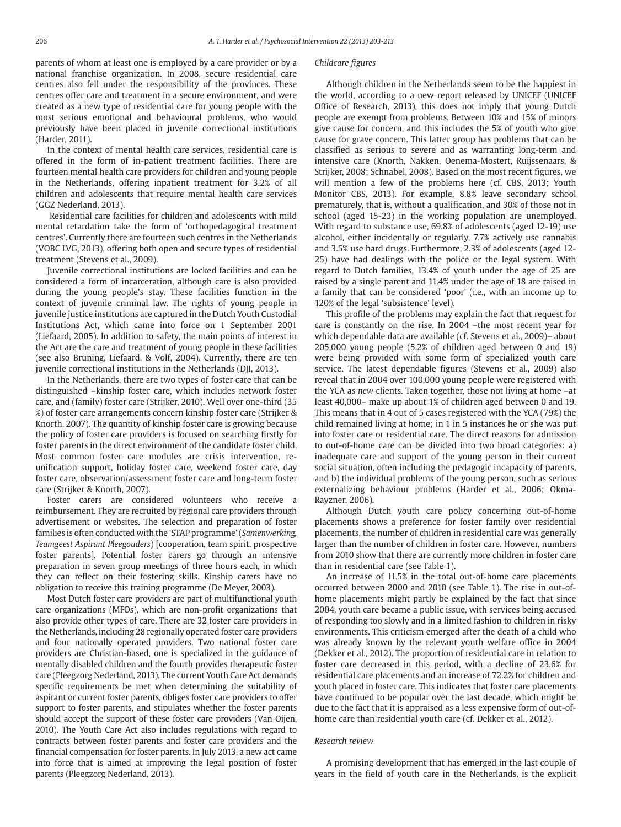parents of whom at least one is employed by a care provider or by a national franchise organization. In 2008, secure residential care centres also fell under the responsibility of the provinces. These centres offer care and treatment in a secure environment, and were created as a new type of residential care for young people with the most serious emotional and behavioural problems, who would previously have been placed in juvenile correctional institutions (Harder, 2011).

In the context of mental health care services, residential care is offered in the form of in-patient treatment facilities. There are fourteen mental health care providers for children and young people in the Netherlands, offering inpatient treatment for 3.2% of all children and adolescents that require mental health care services (GGZ Nederland, 2013).

 Residential care facilities for children and adolescents with mild mental retardation take the form of 'orthopedagogical treatment centres'. Currently there are fourteen such centres in the Netherlands (VOBC LVG, 2013), offering both open and secure types of residential treatment (Stevens et al., 2009).

Juvenile correctional institutions are locked facilities and can be considered a form of incarceration, although care is also provided during the young people's stay. These facilities function in the context of juvenile criminal law. The rights of young people in juvenile justice institutions are captured in the Dutch Youth Custodial Institutions Act, which came into force on 1 September 2001 (Liefaard, 2005). In addition to safety, the main points of interest in the Act are the care and treatment of young people in these facilities (see also Bruning, Liefaard, & Volf, 2004). Currently, there are ten juvenile correctional institutions in the Netherlands (DJI, 2013).

In the Netherlands, there are two types of foster care that can be distinguished –kinship foster care, which includes network foster care, and (family) foster care (Strijker, 2010). Well over one-third (35 %) of foster care arrangements concern kinship foster care (Strijker & Knorth, 2007). The quantity of kinship foster care is growing because the policy of foster care providers is focused on searching firstly for foster parents in the direct environment of the candidate foster child. Most common foster care modules are crisis intervention, reunification support, holiday foster care, weekend foster care, day foster care, observation/assessment foster care and long-term foster care (Strijker & Knorth, 2007).

Foster carers are considered volunteers who receive a reimbursement. They are recruited by regional care providers through advertisement or websites. The selection and preparation of foster families is often conducted with the 'STAP programme' (*Samenwerking, Teamgeest Aspirant Pleegouders*) [cooperation, team spirit, prospective foster parents]. Potential foster carers go through an intensive preparation in seven group meetings of three hours each, in which they can reflect on their fostering skills. Kinship carers have no obligation to receive this training programme (De Meyer, 2003).

Most Dutch foster care providers are part of multifunctional youth care organizations (MFOs), which are non-profit organizations that also provide other types of care. There are 32 foster care providers in the Netherlands, including 28 regionally operated foster care providers and four nationally operated providers. Two national foster care providers are Christian-based, one is specialized in the guidance of mentally disabled children and the fourth provides therapeutic foster care (Pleegzorg Nederland, 2013). The current Youth Care Act demands specific requirements be met when determining the suitability of aspirant or current foster parents, obliges foster care providers to offer support to foster parents, and stipulates whether the foster parents should accept the support of these foster care providers (Van Oijen, 2010). The Youth Care Act also includes regulations with regard to contracts between foster parents and foster care providers and the financial compensation for foster parents. In July 2013, a new act came into force that is aimed at improving the legal position of foster parents (Pleegzorg Nederland, 2013).

# *Childcare figures*

Although children in the Netherlands seem to be the happiest in the world, according to a new report released by UNICEF (UNICEF Office of Research, 2013), this does not imply that young Dutch people are exempt from problems. Between 10% and 15% of minors give cause for concern, and this includes the 5% of youth who give cause for grave concern. This latter group has problems that can be classified as serious to severe and as warranting long-term and intensive care (Knorth, Nakken, Oenema-Mostert, Ruijssenaars, & Strijker, 2008; Schnabel, 2008). Based on the most recent figures, we will mention a few of the problems here (cf. CBS, 2013; Youth Monitor CBS, 2013). For example, 8.8% leave secondary school prematurely, that is, without a qualification, and 30% of those not in school (aged 15-23) in the working population are unemployed. With regard to substance use, 69.8% of adolescents (aged 12-19) use alcohol, either incidentally or regularly, 7.7% actively use cannabis and 3.5% use hard drugs. Furthermore, 2.3% of adolescents (aged 12- 25) have had dealings with the police or the legal system. With regard to Dutch families, 13.4% of youth under the age of 25 are raised by a single parent and 11.4% under the age of 18 are raised in a family that can be considered 'poor' (i.e., with an income up to 120% of the legal 'subsistence' level).

This profile of the problems may explain the fact that request for care is constantly on the rise. In 2004 –the most recent year for which dependable data are available (cf. Stevens et al., 2009)– about 205,000 young people (5.2% of children aged between 0 and 19) were being provided with some form of specialized youth care service. The latest dependable figures (Stevens et al., 2009) also reveal that in 2004 over 100,000 young people were registered with the YCA as *new* clients. Taken together, those not living at home –at least 40,000– make up about 1% of children aged between 0 and 19. This means that in 4 out of 5 cases registered with the YCA (79%) the child remained living at home; in 1 in 5 instances he or she was put into foster care or residential care. The direct reasons for admission to out-of-home care can be divided into two broad categories: a) inadequate care and support of the young person in their current social situation, often including the pedagogic incapacity of parents, and b) the individual problems of the young person, such as serious externalizing behaviour problems (Harder et al., 2006; Okma-Rayzner, 2006).

Although Dutch youth care policy concerning out-of-home placements shows a preference for foster family over residential placements, the number of children in residential care was generally larger than the number of children in foster care. However, numbers from 2010 show that there are currently more children in foster care than in residential care (see Table 1).

An increase of 11.5% in the total out-of-home care placements occurred between 2000 and 2010 (see Table 1). The rise in out-ofhome placements might partly be explained by the fact that since 2004, youth care became a public issue, with services being accused of responding too slowly and in a limited fashion to children in risky environments. This criticism emerged after the death of a child who was already known by the relevant youth welfare office in 2004 (Dekker et al., 2012). The proportion of residential care in relation to foster care decreased in this period, with a decline of 23.6% for residential care placements and an increase of 72.2% for children and youth placed in foster care. This indicates that foster care placements have continued to be popular over the last decade, which might be due to the fact that it is appraised as a less expensive form of out-ofhome care than residential youth care (cf. Dekker et al., 2012).

# *Research review*

A promising development that has emerged in the last couple of years in the field of youth care in the Netherlands, is the explicit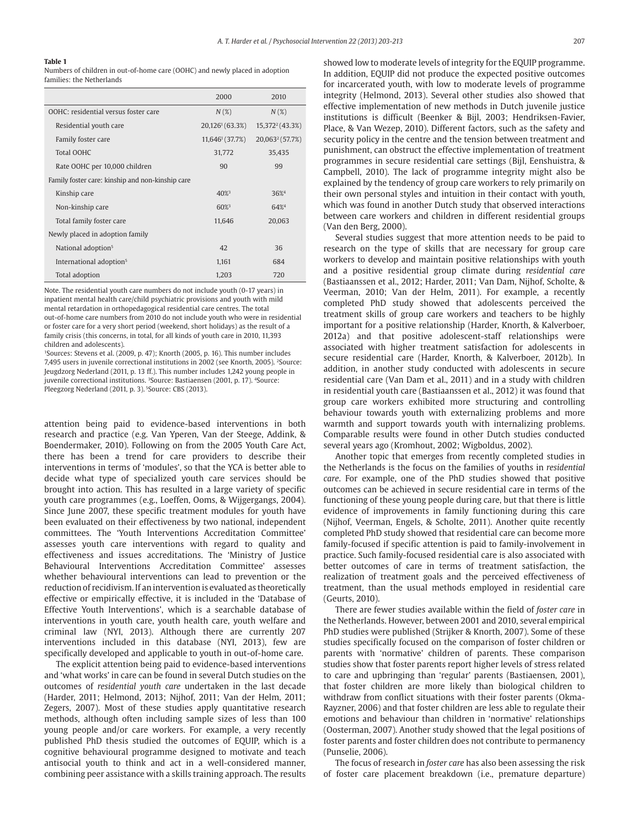#### **Table 1**

Numbers of children in out-of-home care (OOHC) and newly placed in adoption families: the Netherlands

|                                                  | 2000                            | 2010                        |
|--------------------------------------------------|---------------------------------|-----------------------------|
| OOHC: residential versus foster care             | $N(\mathcal{X})$                | $N(\mathcal{X})$            |
| Residential youth care                           | 20,126(63,3%)                   | $15,372^2(43,3%)$           |
| Family foster care                               | $11,646$ <sup>1</sup> $(37.7%)$ | 20,063 <sup>2</sup> (57.7%) |
| Total OOHC                                       | 31,772                          | 35,435                      |
| Rate OOHC per 10,000 children                    | 90                              | 99                          |
| Family foster care: kinship and non-kinship care |                                 |                             |
| Kinship care                                     | $40\%$ <sup>3</sup>             | 36%4                        |
| Non-kinship care                                 | 60%                             | 64%                         |
| Total family foster care                         | 11,646                          | 20,063                      |
| Newly placed in adoption family                  |                                 |                             |
| National adoption <sup>5</sup>                   | 42                              | 36                          |
| International adoption <sup>5</sup>              | 1,161                           | 684                         |
| Total adoption                                   | 1,203                           | 720                         |

Note. The residential youth care numbers do not include youth (0-17 years) in inpatient mental health care/child psychiatric provisions and youth with mild mental retardation in orthopedagogical residential care centres. The total out-of-home care numbers from 2010 do not include youth who were in residential or foster care for a very short period (weekend, short holidays) as the result of a family crisis (this concerns, in total, for all kinds of youth care in 2010, 11,393 children and adolescents).

1Sources: Stevens et al. (2009, p. 47); Knorth (2005, p. 16). This number includes 7,495 users in juvenile correctional institutions in 2002 (see Knorth, 2005). 2Source: Jeugdzorg Nederland (2011, p. 13 ff.). This number includes 1,242 young people in juvenile correctional institutions. <sup>3</sup>Source: Bastiaensen (2001, p. 17). <sup>4</sup>Source: Pleegzorg Nederland (2011, p. 3). <sup>5</sup>Source: CBS (2013).

attention being paid to evidence-based interventions in both research and practice (e.g. Van Yperen, Van der Steege, Addink, & Boendermaker, 2010). Following on from the 2005 Youth Care Act, there has been a trend for care providers to describe their interventions in terms of 'modules', so that the YCA is better able to decide what type of specialized youth care services should be brought into action. This has resulted in a large variety of specific youth care programmes (e.g., Loeffen, Ooms, & Wijgergangs, 2004). Since June 2007, these specific treatment modules for youth have been evaluated on their effectiveness by two national, independent committees. The 'Youth Interventions Accreditation Committee' assesses youth care interventions with regard to quality and effectiveness and issues accreditations. The 'Ministry of Justice Behavioural Interventions Accreditation Committee' assesses whether behavioural interventions can lead to prevention or the reduction of recidivism. If an intervention is evaluated as theoretically effective or empirically effective, it is included in the 'Database of Effective Youth Interventions', which is a searchable database of interventions in youth care, youth health care, youth welfare and criminal law (NYI, 2013). Although there are currently 207 interventions included in this database (NYI, 2013), few are specifically developed and applicable to youth in out-of-home care.

The explicit attention being paid to evidence-based interventions and 'what works' in care can be found in several Dutch studies on the outcomes of *residential youth care* undertaken in the last decade (Harder, 2011; Helmond, 2013; Nijhof, 2011; Van der Helm, 2011; Zegers, 2007). Most of these studies apply quantitative research methods, although often including sample sizes of less than 100 young people and/or care workers. For example, a very recently published PhD thesis studied the outcomes of EQUIP, which is a cognitive behavioural programme designed to motivate and teach antisocial youth to think and act in a well-considered manner, combining peer assistance with a skills training approach. The results showed low to moderate levels of integrity for the EQUIP programme. In addition, EQUIP did not produce the expected positive outcomes for incarcerated youth, with low to moderate levels of programme integrity (Helmond, 2013). Several other studies also showed that effective implementation of new methods in Dutch juvenile justice institutions is difficult (Beenker & Bijl, 2003; Hendriksen-Favier, Place, & Van Wezep, 2010). Different factors, such as the safety and security policy in the centre and the tension between treatment and punishment, can obstruct the effective implementation of treatment programmes in secure residential care settings (Bijl, Eenshuistra, & Campbell, 2010). The lack of programme integrity might also be explained by the tendency of group care workers to rely primarily on their own personal styles and intuition in their contact with youth, which was found in another Dutch study that observed interactions between care workers and children in different residential groups (Van den Berg, 2000).

Several studies suggest that more attention needs to be paid to research on the type of skills that are necessary for group care workers to develop and maintain positive relationships with youth and a positive residential group climate during *residential care* (Bastiaanssen et al., 2012; Harder, 2011; Van Dam, Nijhof, Scholte, & Veerman, 2010; Van der Helm, 2011). For example, a recently completed PhD study showed that adolescents perceived the treatment skills of group care workers and teachers to be highly important for a positive relationship (Harder, Knorth, & Kalverboer, 2012a) and that positive adolescent-staff relationships were associated with higher treatment satisfaction for adolescents in secure residential care (Harder, Knorth, & Kalverboer, 2012b). In addition, in another study conducted with adolescents in secure residential care (Van Dam et al., 2011) and in a study with children in residential youth care (Bastiaanssen et al., 2012) it was found that group care workers exhibited more structuring and controlling behaviour towards youth with externalizing problems and more warmth and support towards youth with internalizing problems. Comparable results were found in other Dutch studies conducted several years ago (Kromhout, 2002; Wigboldus, 2002).

Another topic that emerges from recently completed studies in the Netherlands is the focus on the families of youths in *residential care*. For example, one of the PhD studies showed that positive outcomes can be achieved in secure residential care in terms of the functioning of these young people during care, but that there is little evidence of improvements in family functioning during this care (Nijhof, Veerman, Engels, & Scholte, 2011). Another quite recently completed PhD study showed that residential care can become more family-focused if specific attention is paid to family-involvement in practice. Such family-focused residential care is also associated with better outcomes of care in terms of treatment satisfaction, the realization of treatment goals and the perceived effectiveness of treatment, than the usual methods employed in residential care (Geurts, 2010).

There are fewer studies available within the field of *foster care* in the Netherlands. However, between 2001 and 2010, several empirical PhD studies were published (Strijker & Knorth, 2007). Some of these studies specifically focused on the comparison of foster children or parents with 'normative' children of parents. These comparison studies show that foster parents report higher levels of stress related to care and upbringing than 'regular' parents (Bastiaensen, 2001), that foster children are more likely than biological children to withdraw from conflict situations with their foster parents (Okma-Rayzner, 2006) and that foster children are less able to regulate their emotions and behaviour than children in 'normative' relationships (Oosterman, 2007). Another study showed that the legal positions of foster parents and foster children does not contribute to permanency (Punselie, 2006).

The focus of research in *foster care* has also been assessing the risk of foster care placement breakdown (i.e., premature departure)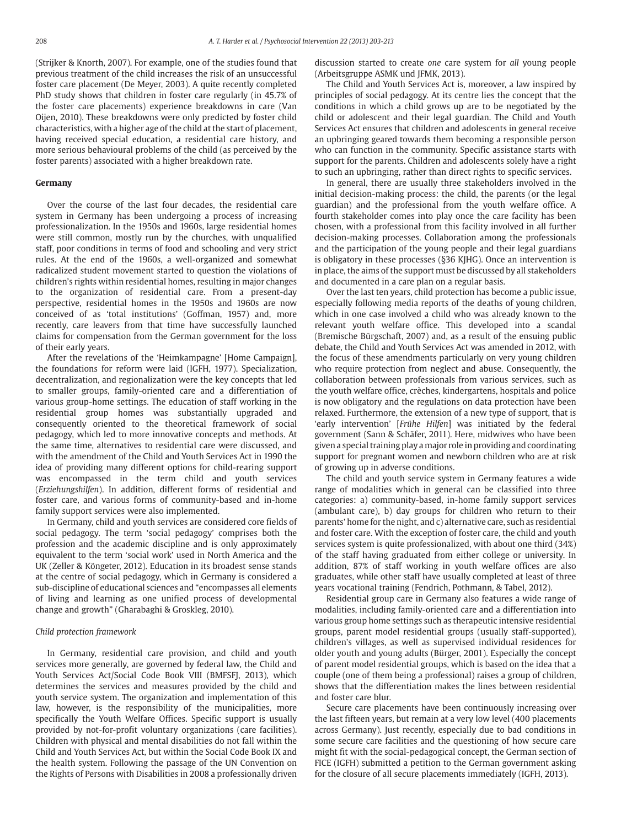(Strijker & Knorth, 2007). For example, one of the studies found that previous treatment of the child increases the risk of an unsuccessful foster care placement (De Meyer, 2003). A quite recently completed PhD study shows that children in foster care regularly (in 45.7% of the foster care placements) experience breakdowns in care (Van Oijen, 2010). These breakdowns were only predicted by foster child characteristics, with a higher age of the child at the start of placement, having received special education, a residential care history, and more serious behavioural problems of the child (as perceived by the foster parents) associated with a higher breakdown rate.

### **Germany**

Over the course of the last four decades, the residential care system in Germany has been undergoing a process of increasing professionalization. In the 1950s and 1960s, large residential homes were still common, mostly run by the churches, with unqualified staff, poor conditions in terms of food and schooling and very strict rules. At the end of the 1960s, a well-organized and somewhat radicalized student movement started to question the violations of children's rights within residential homes, resulting in major changes to the organization of residential care. From a present-day perspective, residential homes in the 1950s and 1960s are now conceived of as 'total institutions' (Goffman, 1957) and, more recently, care leavers from that time have successfully launched claims for compensation from the German government for the loss of their early years.

After the revelations of the 'Heimkampagne' [Home Campaign], the foundations for reform were laid (IGFH, 1977). Specialization, decentralization, and regionalization were the key concepts that led to smaller groups, family-oriented care and a differentiation of various group-home settings. The education of staff working in the residential group homes was substantially upgraded and consequently oriented to the theoretical framework of social pedagogy, which led to more innovative concepts and methods. At the same time, alternatives to residential care were discussed, and with the amendment of the Child and Youth Services Act in 1990 the idea of providing many different options for child-rearing support was encompassed in the term child and youth services (*Erziehungshilfen*). In addition, different forms of residential and foster care, and various forms of community-based and in-home family support services were also implemented.

In Germany, child and youth services are considered core fields of social pedagogy. The term 'social pedagogy' comprises both the profession and the academic discipline and is only approximately equivalent to the term 'social work' used in North America and the UK (Zeller & Köngeter, 2012). Education in its broadest sense stands at the centre of social pedagogy, which in Germany is considered a sub-discipline of educational sciences and "encompasses all elements of living and learning as one unified process of developmental change and growth" (Gharabaghi & Groskleg, 2010).

# *Child protection framework*

In Germany, residential care provision, and child and youth services more generally, are governed by federal law, the Child and Youth Services Act/Social Code Book VIII (BMFSFJ, 2013), which determines the services and measures provided by the child and youth service system. The organization and implementation of this law, however, is the responsibility of the municipalities, more specifically the Youth Welfare Offices. Specific support is usually provided by not-for-profit voluntary organizations (care facilities). Children with physical and mental disabilities do not fall within the Child and Youth Services Act, but within the Social Code Book IX and the health system. Following the passage of the UN Convention on the Rights of Persons with Disabilities in 2008 a professionally driven discussion started to create *one* care system for *all* young people (Arbeitsgruppe ASMK und JFMK, 2013).

The Child and Youth Services Act is, moreover, a law inspired by principles of social pedagogy. At its centre lies the concept that the conditions in which a child grows up are to be negotiated by the child or adolescent and their legal guardian. The Child and Youth Services Act ensures that children and adolescents in general receive an upbringing geared towards them becoming a responsible person who can function in the community. Specific assistance starts with support for the parents. Children and adolescents solely have a right to such an upbringing, rather than direct rights to specific services.

In general, there are usually three stakeholders involved in the initial decision-making process: the child, the parents (or the legal guardian) and the professional from the youth welfare office. A fourth stakeholder comes into play once the care facility has been chosen, with a professional from this facility involved in all further decision-making processes. Collaboration among the professionals and the participation of the young people and their legal guardians is obligatory in these processes (§36 KJHG). Once an intervention is in place, the aims of the support must be discussed by all stakeholders and documented in a care plan on a regular basis.

Over the last ten years, child protection has become a public issue, especially following media reports of the deaths of young children, which in one case involved a child who was already known to the relevant youth welfare office. This developed into a scandal (Bremische Bürgschaft, 2007) and, as a result of the ensuing public debate, the Child and Youth Services Act was amended in 2012, with the focus of these amendments particularly on very young children who require protection from neglect and abuse. Consequently, the collaboration between professionals from various services, such as the youth welfare office, crèches, kindergartens, hospitals and police is now obligatory and the regulations on data protection have been relaxed. Furthermore, the extension of a new type of support, that is 'early intervention' [*Frühe Hilfen*] was initiated by the federal government (Sann & Schäfer, 2011). Here, midwives who have been given a special training play a major role in providing and coordinating support for pregnant women and newborn children who are at risk of growing up in adverse conditions.

The child and youth service system in Germany features a wide range of modalities which in general can be classified into three categories: a) community-based, in-home family support services (ambulant care), b) day groups for children who return to their parents' home for the night, and c) alternative care, such as residential and foster care. With the exception of foster care, the child and youth services system is quite professionalized, with about one third (34%) of the staff having graduated from either college or university. In addition, 87% of staff working in youth welfare offices are also graduates, while other staff have usually completed at least of three years vocational training (Fendrich, Pothmann, & Tabel, 2012).

Residential group care in Germany also features a wide range of modalities, including family-oriented care and a differentiation into various group home settings such as therapeutic intensive residential groups, parent model residential groups (usually staff-supported), children's villages, as well as supervised individual residences for older youth and young adults (Bürger, 2001). Especially the concept of parent model residential groups, which is based on the idea that a couple (one of them being a professional) raises a group of children, shows that the differentiation makes the lines between residential and foster care blur.

Secure care placements have been continuously increasing over the last fifteen years, but remain at a very low level (400 placements across Germany). Just recently, especially due to bad conditions in some secure care facilities and the questioning of how secure care might fit with the social-pedagogical concept, the German section of FICE (IGFH) submitted a petition to the German government asking for the closure of all secure placements immediately (IGFH, 2013).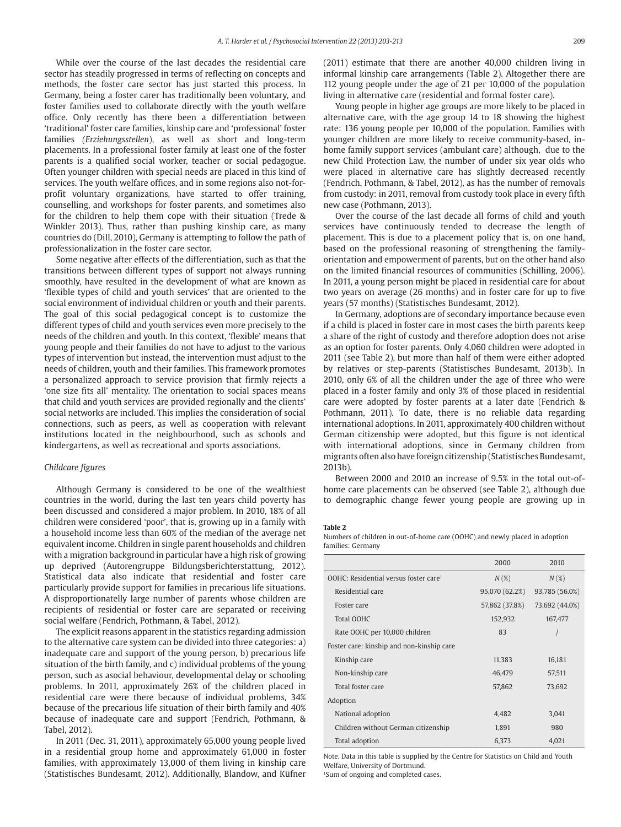While over the course of the last decades the residential care sector has steadily progressed in terms of reflecting on concepts and methods, the foster care sector has just started this process. In Germany, being a foster carer has traditionally been voluntary, and foster families used to collaborate directly with the youth welfare office. Only recently has there been a differentiation between 'traditional' foster care families, kinship care and 'professional' foster families *(Erziehungsstellen*), as well as short and long-term placements. In a professional foster family at least one of the foster parents is a qualified social worker, teacher or social pedagogue. Often younger children with special needs are placed in this kind of services. The youth welfare offices, and in some regions also not-forprofit voluntary organizations, have started to offer training, counselling, and workshops for foster parents, and sometimes also for the children to help them cope with their situation (Trede & Winkler 2013). Thus, rather than pushing kinship care, as many countries do (Dill, 2010), Germany is attempting to follow the path of professionalization in the foster care sector.

Some negative after effects of the differentiation, such as that the transitions between different types of support not always running smoothly, have resulted in the development of what are known as 'flexible types of child and youth services' that are oriented to the social environment of individual children or youth and their parents. The goal of this social pedagogical concept is to customize the different types of child and youth services even more precisely to the needs of the children and youth. In this context, 'flexible' means that young people and their families do not have to adjust to the various types of intervention but instead, the intervention must adjust to the needs of children, youth and their families. This framework promotes a personalized approach to service provision that firmly rejects a 'one size fits all' mentality. The orientation to social spaces means that child and youth services are provided regionally and the clients' social networks are included. This implies the consideration of social connections, such as peers, as well as cooperation with relevant institutions located in the neighbourhood, such as schools and kindergartens, as well as recreational and sports associations.

# *Childcare figures*

Although Germany is considered to be one of the wealthiest countries in the world, during the last ten years child poverty has been discussed and considered a major problem. In 2010, 18% of all children were considered 'poor', that is, growing up in a family with a household income less than 60% of the median of the average net equivalent income. Children in single parent households and children with a migration background in particular have a high risk of growing up deprived (Autorengruppe Bildungsberichterstattung, 2012). Statistical data also indicate that residential and foster care particularly provide support for families in precarious life situations. A disproportionatelly large number of parents whose children are recipients of residential or foster care are separated or receiving social welfare (Fendrich, Pothmann, & Tabel, 2012).

The explicit reasons apparent in the statistics regarding admission to the alternative care system can be divided into three categories: a) inadequate care and support of the young person, b) precarious life situation of the birth family, and c) individual problems of the young person, such as asocial behaviour, developmental delay or schooling problems. In 2011, approximately 26% of the children placed in residential care were there because of individual problems, 34% because of the precarious life situation of their birth family and 40% because of inadequate care and support (Fendrich, Pothmann, & Tabel, 2012).

In 2011 (Dec. 31, 2011), approximately 65,000 young people lived in a residential group home and approximately 61,000 in foster families, with approximately 13,000 of them living in kinship care (Statistisches Bundesamt, 2012). Additionally, Blandow, and Küfner (2011) estimate that there are another 40,000 children living in informal kinship care arrangements (Table 2). Altogether there are 112 young people under the age of 21 per 10,000 of the population living in alternative care (residential and formal foster care).

Young people in higher age groups are more likely to be placed in alternative care, with the age group 14 to 18 showing the highest rate: 136 young people per 10,000 of the population. Families with younger children are more likely to receive community-based, inhome family support services (ambulant care) although, due to the new Child Protection Law, the number of under six year olds who were placed in alternative care has slightly decreased recently (Fendrich, Pothmann, & Tabel, 2012), as has the number of removals from custody: in 2011, removal from custody took place in every fifth new case (Pothmann, 2013).

Over the course of the last decade all forms of child and youth services have continuously tended to decrease the length of placement. This is due to a placement policy that is, on one hand, based on the professional reasoning of strengthening the familyorientation and empowerment of parents, but on the other hand also on the limited financial resources of communities (Schilling, 2006). In 2011, a young person might be placed in residential care for about two years on average (26 months) and in foster care for up to five years (57 months) (Statistisches Bundesamt, 2012).

In Germany, adoptions are of secondary importance because even if a child is placed in foster care in most cases the birth parents keep a share of the right of custody and therefore adoption does not arise as an option for foster parents. Only 4,060 children were adopted in 2011 (see Table 2), but more than half of them were either adopted by relatives or step-parents (Statistisches Bundesamt, 2013b). In 2010, only 6% of all the children under the age of three who were placed in a foster family and only 3% of those placed in residential care were adopted by foster parents at a later date (Fendrich & Pothmann, 2011). To date, there is no reliable data regarding international adoptions. In 2011, approximately 400 children without German citizenship were adopted, but this figure is not identical with international adoptions, since in Germany children from migrants often also have foreign citizenship (Statistisches Bundesamt, 2013b).

Between 2000 and 2010 an increase of 9.5% in the total out-ofhome care placements can be observed (see Table 2), although due to demographic change fewer young people are growing up in

#### **Table 2**

Numbers of children in out-of-home care (OOHC) and newly placed in adoption families: Germany

|                                                   | 2000             | 2010             |
|---------------------------------------------------|------------------|------------------|
| OOHC: Residential versus foster care <sup>1</sup> | $N(\mathcal{X})$ | $N(\mathcal{X})$ |
| Residential care                                  | 95,070 (62.2%)   | 93,785 (56.0%)   |
| Foster care                                       | 57,862 (37.8%)   | 73,692 (44.0%)   |
| Total OOHC                                        | 152,932          | 167,477          |
| Rate OOHC per 10,000 children                     | 83               |                  |
| Foster care: kinship and non-kinship care         |                  |                  |
| Kinship care                                      | 11,383           | 16,181           |
| Non-kinship care                                  | 46,479           | 57,511           |
| Total foster care                                 | 57,862           | 73,692           |
| Adoption                                          |                  |                  |
| National adoption                                 | 4.482            | 3,041            |
| Children without German citizenship               | 1.891            | 980              |
| Total adoption                                    | 6,373            | 4,021            |

Note. Data in this table is supplied by the Centre for Statistics on Child and Youth Welfare, University of Dortmund.

<sup>1</sup>Sum of ongoing and completed cases.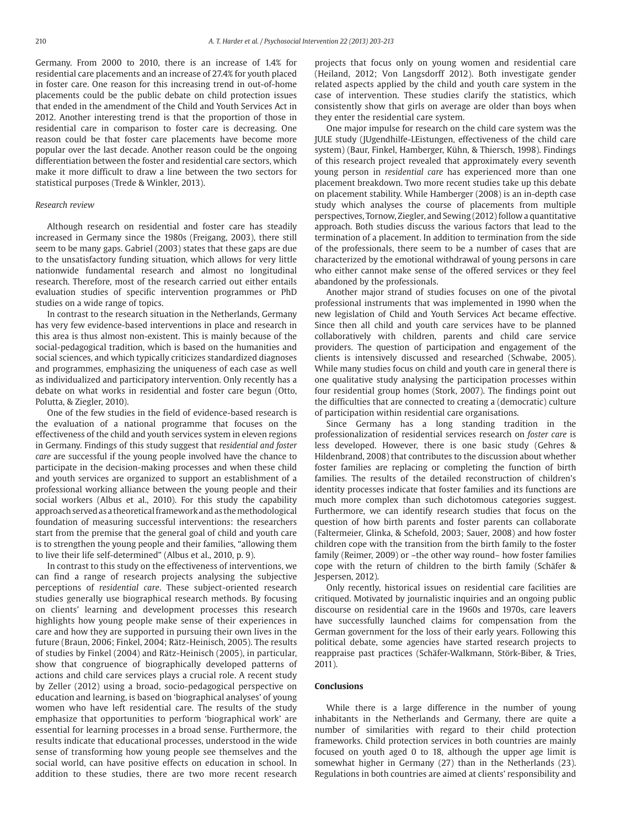Germany. From 2000 to 2010, there is an increase of 1.4% for residential care placements and an increase of 27.4% for youth placed in foster care. One reason for this increasing trend in out-of-home placements could be the public debate on child protection issues that ended in the amendment of the Child and Youth Services Act in 2012. Another interesting trend is that the proportion of those in residential care in comparison to foster care is decreasing. One reason could be that foster care placements have become more popular over the last decade. Another reason could be the ongoing differentiation between the foster and residential care sectors, which make it more difficult to draw a line between the two sectors for statistical purposes (Trede & Winkler, 2013).

# *Research review*

Although research on residential and foster care has steadily increased in Germany since the 1980s (Freigang, 2003), there still seem to be many gaps. Gabriel (2003) states that these gaps are due to the unsatisfactory funding situation, which allows for very little nationwide fundamental research and almost no longitudinal research. Therefore, most of the research carried out either entails evaluation studies of specific intervention programmes or PhD studies on a wide range of topics.

In contrast to the research situation in the Netherlands, Germany has very few evidence-based interventions in place and research in this area is thus almost non-existent. This is mainly because of the social-pedagogical tradition, which is based on the humanities and social sciences, and which typically criticizes standardized diagnoses and programmes, emphasizing the uniqueness of each case as well as individualized and participatory intervention. Only recently has a debate on what works in residential and foster care begun (Otto, Polutta, & Ziegler, 2010).

One of the few studies in the field of evidence-based research is the evaluation of a national programme that focuses on the effectiveness of the child and youth services system in eleven regions in Germany. Findings of this study suggest that *residential and foster care* are successful if the young people involved have the chance to participate in the decision-making processes and when these child and youth services are organized to support an establishment of a professional working alliance between the young people and their social workers (Albus et al., 2010). For this study the capability approach served as a theoretical framework and as the methodological foundation of measuring successful interventions: the researchers start from the premise that the general goal of child and youth care is to strengthen the young people and their families, "allowing them to live their life self-determined" (Albus et al., 2010, p. 9).

In contrast to this study on the effectiveness of interventions, we can find a range of research projects analysing the subjective perceptions of *residential care*. These subject-oriented research studies generally use biographical research methods. By focusing on clients' learning and development processes this research highlights how young people make sense of their experiences in care and how they are supported in pursuing their own lives in the future (Braun, 2006; Finkel, 2004; Rätz-Heinisch, 2005). The results of studies by Finkel (2004) and Rätz-Heinisch (2005), in particular, show that congruence of biographically developed patterns of actions and child care services plays a crucial role. A recent study by Zeller (2012) using a broad, socio-pedagogical perspective on education and learning, is based on 'biographical analyses' of young women who have left residential care. The results of the study emphasize that opportunities to perform 'biographical work' are essential for learning processes in a broad sense. Furthermore, the results indicate that educational processes, understood in the wide sense of transforming how young people see themselves and the social world, can have positive effects on education in school. In addition to these studies, there are two more recent research projects that focus only on young women and residential care (Heiland, 2012; Von Langsdorff 2012). Both investigate gender related aspects applied by the child and youth care system in the case of intervention. These studies clarify the statistics, which consistently show that girls on average are older than boys when they enter the residential care system.

One major impulse for research on the child care system was the JULE study (JUgendhilfe-LEistungen, effectiveness of the child care system) (Baur, Finkel, Hamberger, Kühn, & Thiersch, 1998). Findings of this research project revealed that approximately every seventh young person in *residential care* has experienced more than one placement breakdown. Two more recent studies take up this debate on placement stability. While Hamberger (2008) is an in-depth case study which analyses the course of placements from multiple perspectives, Tornow, Ziegler, and Sewing (2012) follow a quantitative approach. Both studies discuss the various factors that lead to the termination of a placement. In addition to termination from the side of the professionals, there seem to be a number of cases that are characterized by the emotional withdrawal of young persons in care who either cannot make sense of the offered services or they feel abandoned by the professionals.

Another major strand of studies focuses on one of the pivotal professional instruments that was implemented in 1990 when the new legislation of Child and Youth Services Act became effective. Since then all child and youth care services have to be planned collaboratively with children, parents and child care service providers. The question of participation and engagement of the clients is intensively discussed and researched (Schwabe, 2005). While many studies focus on child and youth care in general there is one qualitative study analysing the participation processes within four residential group homes (Stork, 2007). The findings point out the difficulties that are connected to creating a (democratic) culture of participation within residential care organisations.

Since Germany has a long standing tradition in the professionalization of residential services research on *foster care* is less developed. However, there is one basic study (Gehres & Hildenbrand, 2008) that contributes to the discussion about whether foster families are replacing or completing the function of birth families. The results of the detailed reconstruction of children's identity processes indicate that foster families and its functions are much more complex than such dichotomous categories suggest. Furthermore, we can identify research studies that focus on the question of how birth parents and foster parents can collaborate (Faltermeier, Glinka, & Schefold, 2003; Sauer, 2008) and how foster children cope with the transition from the birth family to the foster family (Reimer, 2009) or –the other way round– how foster families cope with the return of children to the birth family (Schäfer & Jespersen, 2012).

Only recently, historical issues on residential care facilities are critiqued. Motivated by journalistic inquiries and an ongoing public discourse on residential care in the 1960s and 1970s, care leavers have successfully launched claims for compensation from the German government for the loss of their early years. Following this political debate, some agencies have started research projects to reappraise past practices (Schäfer-Walkmann, Störk-Biber, & Tries, 2011).

# **Conclusions**

While there is a large difference in the number of young inhabitants in the Netherlands and Germany, there are quite a number of similarities with regard to their child protection frameworks. Child protection services in both countries are mainly focused on youth aged 0 to 18, although the upper age limit is somewhat higher in Germany (27) than in the Netherlands (23). Regulations in both countries are aimed at clients' responsibility and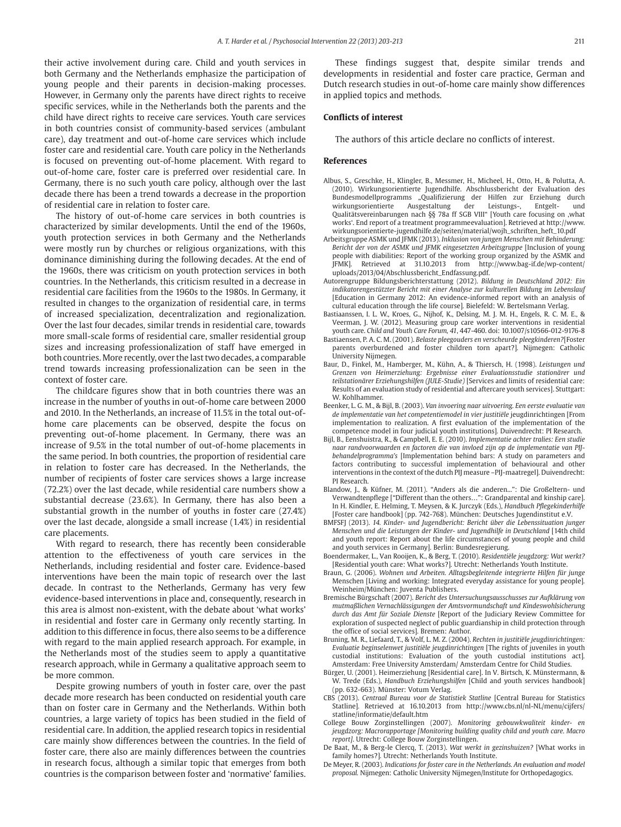their active involvement during care. Child and youth services in both Germany and the Netherlands emphasize the participation of young people and their parents in decision-making processes. However, in Germany only the parents have direct rights to receive specific services, while in the Netherlands both the parents and the child have direct rights to receive care services. Youth care services in both countries consist of community-based services (ambulant care), day treatment and out-of-home care services which include foster care and residential care. Youth care policy in the Netherlands is focused on preventing out-of-home placement. With regard to out-of-home care, foster care is preferred over residential care. In Germany, there is no such youth care policy, although over the last decade there has been a trend towards a decrease in the proportion of residential care in relation to foster care.

The history of out-of-home care services in both countries is characterized by similar developments. Until the end of the 1960s, youth protection services in both Germany and the Netherlands were mostly run by churches or religious organizations, with this dominance diminishing during the following decades. At the end of the 1960s, there was criticism on youth protection services in both countries. In the Netherlands, this criticism resulted in a decrease in residential care facilities from the 1960s to the 1980s. In Germany, it resulted in changes to the organization of residential care, in terms of increased specialization, decentralization and regionalization. Over the last four decades, similar trends in residential care, towards more small-scale forms of residential care, smaller residential group sizes and increasing professionalization of staff have emerged in both countries. More recently, over the last two decades, a comparable trend towards increasing professionalization can be seen in the context of foster care.

The childcare figures show that in both countries there was an increase in the number of youths in out-of-home care between 2000 and 2010. In the Netherlands, an increase of 11.5% in the total out-ofhome care placements can be observed, despite the focus on preventing out-of-home placement. In Germany, there was an increase of 9.5% in the total number of out-of-home placements in the same period. In both countries, the proportion of residential care in relation to foster care has decreased. In the Netherlands, the number of recipients of foster care services shows a large increase (72.2%) over the last decade, while residential care numbers show a substantial decrease (23.6%). In Germany, there has also been a substantial growth in the number of youths in foster care (27.4%) over the last decade, alongside a small increase (1.4%) in residential care placements.

With regard to research, there has recently been considerable attention to the effectiveness of youth care services in the Netherlands, including residential and foster care. Evidence-based interventions have been the main topic of research over the last decade. In contrast to the Netherlands, Germany has very few evidence-based interventions in place and, consequently, research in this area is almost non-existent, with the debate about 'what works' in residential and foster care in Germany only recently starting. In addition to this difference in focus, there also seems to be a difference with regard to the main applied research approach. For example, in the Netherlands most of the studies seem to apply a quantitative research approach, while in Germany a qualitative approach seem to be more common.

Despite growing numbers of youth in foster care, over the past decade more research has been conducted on residential youth care than on foster care in Germany and the Netherlands. Within both countries, a large variety of topics has been studied in the field of residential care. In addition, the applied research topics in residential care mainly show differences between the countries. In the field of foster care, there also are mainly differences between the countries in research focus, although a similar topic that emerges from both countries is the comparison between foster and 'normative' families.

These findings suggest that, despite similar trends and developments in residential and foster care practice, German and Dutch research studies in out-of-home care mainly show differences in applied topics and methods.

## **Conflicts of interest**

The authors of this article declare no conflicts of interest.

#### **References**

- Albus, S., Greschke, H., Klingler, B., Messmer, H., Micheel, H., Otto, H., & Polutta, A. (2010). Wirkungsorientierte Jugendhilfe. Abschlussbericht der Evaluation des Bundesmodellprogramms "Qualifizierung der Hilfen zur Erziehung durch wirkungsorientierte Ausgestaltung der Leistungs-, Entgelt- und Qualitätsvereinbarungen nach §§ 78a ff SGB VIII" [Youth care focusing on ,what works'. End report of a treatment programme evaluation]. Retrieved at http://www. wirkungsorientierte-jugendhilfe.de/seiten/material/wojh\_schriften\_heft\_10.pdf
- Arbeitsgruppe ASMK und JFMK (2013). *Inklusion von jungen Menschen mit Behinderung: Bericht der von der ASMK und JFMK eingesetzten Arbeitsgruppe* [Inclusion of young people with diabilities: Report of the working group organized by the ASMK and JFMK]*.* Retrieved at 31.10.2013 from http://www.bag-if.de/wp-content/ uploads/2013/04/Abschlussbericht\_Endfassung.pdf.
- Autorengruppe Bildungsberichterstattung (2012). *Bildung in Deutschland 2012: Ein indikatorengestützter Bericht mit einer Analyse zur kulturellen Bildung im Lebenslauf* [Education in Germany 2012: An evidence-informed report with an analysis of cultural education through the life course]*.* Bielefeld: W. Bertelsmann Verlag.
- Bastiaanssen, I. L. W., Kroes, G., Nijhof, K., Delsing, M. J. M. H., Engels, R. C. M. E., & Veerman, J. W. (2012). Measuring group care worker interventions in residential youth care. *Child and Youth Care Forum, 41*, 447-460. doi: 10.1007/s10566-012-9176-8
- Bastiaensen, P. A. C. M. (2001). *Belaste pleegouders en verscheurde pleegkinderen?* [Foster parents overburdened and foster children torn apart?]*.* Nijmegen: Catholic University Nijmegen.
- Baur, D., Finkel, M., Hamberger, M., Kühn, A., & Thiersch, H. (1998). *Leistungen und Grenzen von Heimerziehung: Ergebnisse einer Evaluationsstudie stationärer und teilstationärer Erziehungshilfen (JULE-Studie)* [Services and limits of residential care: Results of an evaluation study of residential and aftercare youth services]. Stuttgart: W. Kohlhammer.
- Beenker, L. G. M., & Bijl, B. (2003). *Van invoering naar uitvoering. Een eerste evaluatie van de implementatie van het competentiemodel in vier justitiële* jeugdinrichtingen [From implementation to realization. A first evaluation of the implementation of the competence model in four judicial youth institutions]*.* Duivendrecht: PI Research.
- Bijl, B., Eenshuistra, R., & Campbell, E. E. (2010). *Implementatie achter tralies: Een studie naar randvoorwaarden en factoren die van invloed zijn op de implementatie van PIJbehandelprogramma's* [Implementation behind bars: A study on parameters and factors contributing to successful implementation of behavioural and other interventions in the context of the dutch PIJ measure –PIJ-maatregel]*.* Duivendrecht: PI Research.
- Blandow, J., & Küfner, M. (2011). "Anders als die anderen...": Die Großeltern- und Verwandtenpflege ["Different than the others…": Grandparental and kinship care]. In H. Kindler, E. Helming, T. Meysen, & K. Jurczyk (Eds.), *Handbuch Pflegekinderhilfe* [Foster care handbook] (pp. 742-768). München: Deutsches Jugendinstitut e.V.
- BMFSFJ (2013). *14. Kinder- und Jugendbericht: Bericht über die Lebenssituation junger Menschen und die Leistungen der Kinder- und Jugendhilfe in Deutschland* [14th child and youth report: Report about the life circumstances of young people and child and youth services in Germany]*.* Berlin: Bundesregierung.
- Boendermaker, L., Van Rooijen, K., & Berg, T. (2010). *Residentiële jeugdzorg: Wat werkt?*  [Residential youth care: What works?]*.* Utrecht: Netherlands Youth Institute.
- Braun, G. (2006). *Wohnen und Arbeiten. Alltagsbegleitende integrierte Hilfen für junge*  Menschen [Living and working: Integrated everyday assistance for young people]*.* Weinheim/München: Juventa Publishers.
- Bremische Bürgschaft (2007). *Bericht des Untersuchungsausschusses zur Aufklärung von mutmaßlichen Vernachlässigungen der Amtsvormundschaft und Kindeswohlsicherung durch das Amt für Soziale Dienste* [Report of the Judiciary Review Committee for exploration of suspected neglect of public guardianship in child protection through the office of social services]*.* Bremen: Author.
- Bruning, M. R., Liefaard, T., & Volf, L. M. Z. (2004). *Rechten in justitiële jeugdinrichtingen: Evaluatie beginselenwet justitiële jeugdinrichtingen* [The rights of juveniles in youth custodial institutions: Evaluation of the youth custodial institutions act]*.* Amsterdam: Free University Amsterdam/ Amsterdam Centre for Child Studies.
- Bürger, U. (2001). Heimerziehung [Residential care]. In V. Birtsch, K. Münstermann, & W. Trede (Eds.), *Handbuch Erziehungshilfen* [Child and youth services handbook] (pp. 632-663). Münster: Votum Verlag.
- CBS (2013). *Centraal Bureau voor de Statistiek Statline* [Central Bureau for Statistics Statline]*.* Retrieved at 16.10.2013 from http://www.cbs.nl/nl-NL/menu/cijfers/ statline/informatie/default.htm
- College Bouw Zorginstellingen (2007). *Monitoring gebouwkwaliteit kinder- en jeugdzorg: Macrorapportage [Monitoring building quality child and youth care. Macro report]*. Utrecht: College Bouw Zorginstellingen.
- De Baat, M., & Berg-le Clercq, T. (2013). *Wat werkt in gezinshuizen?* [What works in family homes?]*.* Utrecht: Netherlands Youth Institute.
- De Meyer, R. (2003). *Indications for foster care in the Netherlands. An evaluation and model proposal.* Nijmegen: Catholic University Nijmegen/Institute for Orthopedagogics.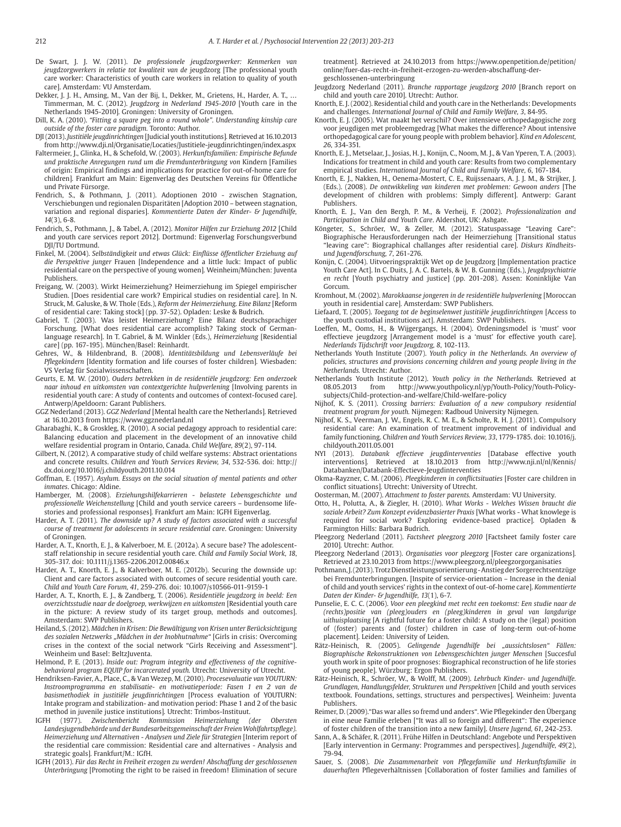- De Swart, J. J. W. (2011). *De professionele jeugdzorgwerker: Kenmerken van jeugdzorgwerkers in relatie tot kwaliteit van de* jeugdzorg [The professional youth care worker: Characteristics of youth care workers in relation to quality of youth care]. Amsterdam: VU Amsterdam.
- Dekker, J. J. H., Amsing, M., Van der Bij, I., Dekker, M., Grietens, H., Harder, A. T., … Timmerman, M. C. (2012). *Jeugdzorg in Nederland 1945-2010* [Youth care in the Netherlands 1945-2010]*.* Groningen: University of Groningen.
- Dill, K. A. (2010). *"Fitting a square peg into a round whole". Understanding kinship care outside of the foster care paradigm.* Toronto: Author.
- DJI (2013). *Justitiële jeugdinrichtingen* [Judicial youth institutions]*.* Retrieved at 16.10.2013 from http://www.dji.nl/Organisatie/Locaties/Justitiele-jeugdinrichtingen/index.aspx
- Faltermeier, J., Glinka, H., & Schefold, W. (2003). *Herkunftsfamilien: Empirische Befunde und praktische Anregungen rund um die Fremdunterbringung von* Kindern [Families of origin: Empirical findings and implications for practice for out-of-home care for children]*.* Frankfurt am Main: Eigenverlag des Deutschen Vereins für Öffentliche und Private Fürsorge.
- Fendrich, S., & Pothmann, J. (2011). Adoptionen 2010 zwischen Stagnation, Verschiebungen und regionalen Disparitäten [Adoption 2010 – between stagnation, variation and regional disparies]. *Kommentierte Daten der Kinder- & Jugendhilfe, 14*(3), 6-8.
- Fendrich, S., Pothmann, J., & Tabel, A. (2012). *Monitor Hilfen zur Erziehung 2012* [Child and youth care services report 2012]*.* Dortmund: Eigenverlag Forschungsverbund DJI/TU Dortmund.
- Finkel, M. (2004). *Selbständigkeit und etwas Glück: Einflüsse öffentlicher Erziehung auf die Perspektive junger* Frauen [Independence and a little luck: Impact of public residential care on the perspective of young women]*.* Weinheim/München: Juventa Publishers.
- Freigang, W. (2003). Wirkt Heimerziehung? Heimerziehung im Spiegel empirischer Studien. [Does residential care work? Empirical studies on residential care]. In N. Struck, M. Galuske, & W. Thole (Eds.), *Reform der Heimerziehung. Eine Bilanz* [Reform of residential care: Taking stock] (pp. 37-52). Opladen: Leske & Budrich.
- Gabriel, T. (2003). Was leistet Heimerziehung? Eine Bilanz deutschsprachiger Forschung. [What does residential care accomplish? Taking stock of Germanlanguage research]. In T. Gabriel, & M. Winkler (Eds.), *Heimerziehung* [Residential care] (pp. 167-195). München/Basel: Reinhardt.
- Gehres, W., & Hildenbrand, B. (2008). *Identitätsbildung und Lebensverläufe bei Pflegekindern* [Identity formation and life courses of foster children]*.* Wiesbaden: VS Verlag für Sozialwissenschaften.
- Geurts, E. M. W. (2010). *Ouders betrekken in de residentiële jeugdzorg: Een onderzoek naar inhoud en uitkomsten van contextgerichte hulpverlening* [Involving parents in residential youth care: A study of contents and outcomes of context-focused care]. Antwerp/Apeldoorn: Garant Publishers.
- GGZ Nederland (2013). *GGZ Nederland* [Mental health care the Netherlands]*.* Retrieved at 16.10.2013 from https://www.ggznederland.nl
- Gharabaghi, K., & Groskleg, R. (2010). A social pedagogy approach to residential care: Balancing education and placement in the development of an innovative child welfare residential program in Ontario, Canada. *Child Welfare, 89*(2), 97-114.
- Gilbert, N. (2012). A comparative study of child welfare systems: Abstract orientations and concrete results. *Children and Youth Services Review, 34*, 532-536. doi: http:// dx.doi.org/10.1016/j.childyouth.2011.10.014
- Goffman, E. (1957). *Asylum. Essays on the social situation of mental patients and other inmates*. Chicago: Aldine.
- Hamberger, M. (2008). *Erziehungshilfekarrieren belastete Lebensgeschichte und professionelle Weichenstellung* [Child and youth service careers – burdensome lifestories and professional responses]*.* Frankfurt am Main: IGFH Eigenverlag.
- Harder, A. T. (2011). *The downside up? A study of factors associated with a successful course of treatment for adolescents in secure residential care*. Groningen: University of Groningen.
- Harder, A. T., Knorth, E. J., & Kalverboer, M. E. (2012a). A secure base? The adolescentstaff relationship in secure residential youth care. *Child and Family Social Work, 18*, 305-317. doi: 10.1111/j.1365-2206.2012.00846.x
- Harder, A. T., Knorth, E. J., & Kalverboer, M. E. (2012b). Securing the downside up: Client and care factors associated with outcomes of secure residential youth care. *Child and Youth Care Forum, 41*, 259-276. doi: 10.1007/s10566-011-9159-1
- Harder, A. T., Knorth, E. J., & Zandberg, T. (2006). *Residentiële jeugdzorg in beeld: Een overzichtsstudie naar de doelgroep, werkwijzen en uitkomsten* [Residential youth care in the picture: A review study of its target group, methods and outcomes]. Amsterdam: SWP Publishers.
- Heiland, S. (2012). *Mädchen in Krisen: Die Bewältigung von Krisen unter Berücksichtigung des sozialen Netzwerks "Mädchen in der Inobhutnahme"* [Girls in crisis: Overcoming crises in the context of the social network "Girls Receiving and Assessment"]. Weinheim und Basel: BeltzJuventa.
- Helmond, P. E. (2013). *Inside out: Program integrity and effectiveness of the cognitivebehavioral program EQUIP for incarcerated youth.* Utrecht: University of Utrecht.
- Hendriksen-Favier, A., Place, C., & Van Wezep, M. (2010). *Procesevaluatie van YOUTURN: Instroomprogramma en stabilisatie- en motivatieperiode: Fasen 1 en 2 van de basismethodiek in justitiële jeugdinrichtingen* [Process evaluation of YOUTURN: Intake program and stabilization- and motivation period: Phase 1 and 2 of the basic method in juvenile justice institutions]*.* Utrecht: Trimbos-Instituut.
- IGFH (1977). *Zwischenbericht Kommission Heimerziehung (der Obersten Landesjugendbehörde und der Bundesarbeitsgemeinschaft der Freien Wohlfahrtspflege). Heimerziehung und Alternativen - Analysen und Ziele für Strategien* [Interim report of the residential care commission: Residential care and alternatives - Analysis and strategic goals]*.* Frankfurt/M.: IGfH.
- IGFH (2013). *Für das Recht in Freiheit erzogen zu werden! Abschaffung der geschlossenen Unterbringung* [Promoting the right to be raised in freedom! Elimination of secure

treatment]*.* Retrieved at 24.10.2013 from https://www.openpetition.de/petition/ online/fuer-das-recht-in-freiheit-erzogen-zu-werden-abschaffung-dergeschlossenen-unterbringung

- Jeugdzorg Nederland (2011). *Branche rapportage jeugdzorg 2010* [Branch report on child and youth care 2010]*.* Utrecht: Author.
- Knorth, E. J. (2002). Residential child and youth care in the Netherlands: Developments and challenges. *International Journal of Child and Family Welfare, 3*, 84-95.
- Knorth, E. J. (2005). Wat maakt het verschil? Over intensieve orthopedagogische zorg voor jeugdigen met probleemgedrag [What makes the difference? About intensive orthopedagogical care for young people with problem behavior]. *Kind en Adolescent, 26*, 334-351.
- Knorth, E. J., Metselaar, J., Josias, H. J., Konijn, C., Noom, M. J., & Van Yperen, T. A. (2003). Indications for treatment in child and youth care: Results from two complementary empirical studies. *International Journal of Child and Family Welfare, 6*, 167-184.
- Knorth, E. J., Nakken, H., Oenema-Mostert, C. E., Ruijssenaars, A. J. J. M., & Strijker, J. (Eds.). (2008). *De ontwikkeling van kinderen met problemen: Gewoon anders* [The development of children with problems: Simply different]. Antwerp: Garant Publishers.
- Knorth, E. J., Van den Bergh, P. M., & Verheij, F. (2002). *Professionalization and Participation in Child and Youth Care*. Aldershot, UK: Ashgate.
- Köngeter, S., Schröer, W., & Zeller, M. (2012). Statuspassage "Leaving Care": Biographische Herausforderungen nach der Heimerziehung [Transitional status "leaving care": Biographical challanges after residential care]. *Diskurs Kindheitsund Jugendforschung, 7*, 261-276.
- Konijn, C. (2004). Uitvoeringspraktijk Wet op de Jeugdzorg [Implementation practice Youth Care Act]. In C. Duits, J. A. C. Bartels, & W. B. Gunning (Eds.), *Jeugdpsychiatrie en recht* [Youth psychiatry and justice] (pp. 201-208). Assen: Koninklijke Van Gorcum.
- Kromhout, M. (2002). *Marokkaanse jongeren in de residentiële hulpverlening* [Moroccan youth in residential care]*.* Amsterdam: SWP Publishers.
- Liefaard, T. (2005). *Toegang tot de beginselenwet justitiële jeugdinrichtingen* [Access to the youth custodial institutions act]. Amsterdam: SWP Publishers.
- Loeffen, M., Ooms, H., & Wijgergangs, H. (2004). Ordeningsmodel is 'must' voor effectieve jeugdzorg [Arrangement model is a 'must' for effective youth care]. *Nederlands Tijdschrift voor Jeugdzorg, 8*, 102-113.
- Netherlands Youth Institute (2007). *Youth policy in the Netherlands. An overview of policies, structures and provisions concerning children and young people living in the Netherlands.* Utrecht: Author.
- Netherlands Youth Institute (2012). *Youth policy in the Netherlands.* Retrieved at 08.05.2013 from http://www.youthpolicy.nl/yp/Youth-Policy/Youth-Policysubjects/Child-protection-and-welfare/Child-welfare-policy
- Nijhof, K. S. (2011). *Crossing barriers: Evaluation of a new compulsory residential treatment program for youth.* Nijmegen: Radboud University Nijmegen.
- Nijhof, K. S., Veerman, J. W., Engels, R. C. M. E., & Scholte, R. H. J. (2011). Compulsory residential care: An examination of treatment improvement of individual and family functioning. *Children and Youth Services Review, 33*, 1779-1785. doi: 10.1016/j. childyouth.2011.05.001
- NYI (2013). *Databank effectieve jeugdinterventies* [Database effective youth interventions]*.* Retrieved at 18.10.2013 from http://www.nji.nl/nl/Kennis/ Databanken/Databank-Effectieve-Jeugdinterventies
- Okma-Rayzner, C. M. (2006). *Pleegkinderen in conflictsituaties* [Foster care children in conflict situations]*.* Utrecht: University of Utrecht.
- Oosterman, M. (2007). *Attachment to foster parents.* Amsterdam: VU University.
- Otto, H., Polutta, A., & Ziegler, H. (2010). *What Works Welches Wissen braucht die soziale Arbeit? Zum Konzept evidenzbasierter Praxis* [What works - What knowlege is required for social work? Exploring evidence-based practice]*.* Opladen & Farmington Hills: Barbara Budrich.
- Pleegzorg Nederland (2011). *Factsheet pleegzorg 2010* [Factsheet family foster care 2010]*.* Utrecht: Author.
- Pleegzorg Nederland (2013). *Organisaties voor pleegzorg* [Foster care organizations]*.* Retrieved at 23.10.2013 from https://www.pleegzorg.nl/pleegzorgorganisaties
- Pothmann, J. (2013). Trotz Dienstleistungsorientierung Anstieg der Sorgerechtsentzüge bei Fremdunterbringungen. [Inspite of service-orientation – Increase in the denial of child and youth services' rights in the context of out-of-home care]. *Kommentierte Daten der Kinder- & Jugendhilfe, 13*(1), 6-7.
- Punselie, E. C. C. (2006). *Voor een pleegkind met recht een toekomst: Een studie naar de (rechts)positie van (pleeg)ouders en (pleeg)kinderen in geval van langdurige uithuisplaatsing* [A rightful future for a foster child: A study on the (legal) position of (foster) parents and (foster) children in case of long-term out-of-home placement]. Leiden: University of Leiden.
- Rätz-Heinisch, R. (2005). *Gelingende Jugendhilfe bei "aussichtslosen" Fällen: Biographische Rekonstruktionen von Lebensgeschichten junger Menschen* [Succesful youth work in spite of poor prognoses: Biographical reconstruction of he life stories of young people]*.* Würzburg: Ergon Publishers.
- Rätz-Heinisch, R., Schröer, W., & Wolff, M. (2009). *Lehrbuch Kinder- und Jugendhilfe. Grundlagen, Handlungsfelder, Strukturen und Perspektiven* [Child and youth services textbook. Foundations, settings, structures and perspectives]*.* Weinheim: Juventa Publishers.
- Reimer, D. (2009)."Das war alles so fremd und anders". Wie Pflegekinder den Übergang in eine neue Familie erleben ["It was all so foreign and different": The experience of foster children of the transition into a new family]. *Unsere Jugend, 61*, 242-253.
- Sann, A., & Schäfer, R. (2011). Frühe Hilfen in Deutschland: Angebote und Perspektiven [Early intervention in Germany: Programmes and perspectives]. *Jugendhilfe, 49*(2), 79-94.
- Sauer, S. (2008). *Die Zusammenarbeit von Pflegefamilie und Herkunftsfamilie in dauerhaften* Pflegeverhältnissen [Collaboration of foster families and families of